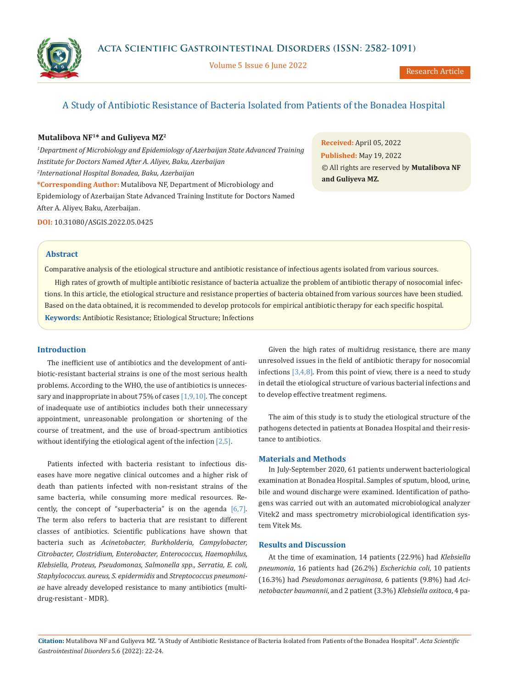

Volume 5 Issue 6 June 2022

# A Study of Antibiotic Resistance of Bacteria Isolated from Patients of the Bonadea Hospital

## **Mutalibova NF1\* and Guliyeva MZ2**

<sup>1</sup>Department of Microbiology and Epidemiology of Azerbaijan State Advanced Training *Institute for Doctors Named After A. Aliyev, Baku, Azerbaijan 2 International Hospital Bonadea, Baku, Azerbaijan* **\*Corresponding Author:** Mutalibova NF, Department of Microbiology and Epidemiology of Azerbaijan State Advanced Training Institute for Doctors Named After A. Aliyev, Baku, Azerbaijan.

**Received:** April 05, 2022 **Published:** May 19, 2022 © All rights are reserved by **Mutalibova NF and Guliyeva MZ***.*

**DOI:** 10.31080/ASGIS.2022.05.0425

#### **Abstract**

Comparative analysis of the etiological structure and antibiotic resistance of infectious agents isolated from various sources.

High rates of growth of multiple antibiotic resistance of bacteria actualize the problem of antibiotic therapy of nosocomial infections. In this article, the etiological structure and resistance properties of bacteria obtained from various sources have been studied. Based on the data obtained, it is recommended to develop protocols for empirical antibiotic therapy for each specific hospital. **Keywords:** Antibiotic Resistance; Etiological Structure; Infections

## **Introduction**

The inefficient use of antibiotics and the development of antibiotic-resistant bacterial strains is one of the most serious health problems. According to the WHO, the use of antibiotics is unnecessary and inappropriate in about 75% of cases  $[1,9,10]$ . The concept of inadequate use of antibiotics includes both their unnecessary appointment, unreasonable prolongation or shortening of the course of treatment, and the use of broad-spectrum antibiotics without identifying the etiological agent of the infection [2,5].

Patients infected with bacteria resistant to infectious diseases have more negative clinical outcomes and a higher risk of death than patients infected with non-resistant strains of the same bacteria, while consuming more medical resources. Recently, the concept of "superbacteria" is on the agenda [6,7]. The term also refers to bacteria that are resistant to different classes of antibiotics. Scientific publications have shown that bacteria such as *Acinetobacter, Burkholderia, Campylobacter, Citrobacter, Clostridium, Enterobacter, Enterococcus, Haemophilus, Klebsiella, Proteus, Pseudomonas, Salmonella spp., Serratia, E. coli, Staphylococcus. aureus, S. epidermidis* and *Streptococcus pneumoniae* have already developed resistance to many antibiotics (multidrug-resistant - MDR).

Given the high rates of multidrug resistance, there are many unresolved issues in the field of antibiotic therapy for nosocomial infections  $[3,4,8]$ . From this point of view, there is a need to study in detail the etiological structure of various bacterial infections and to develop effective treatment regimens.

The aim of this study is to study the etiological structure of the pathogens detected in patients at Bonadea Hospital and their resistance to antibiotics.

#### **Materials and Methods**

In July-September 2020, 61 patients underwent bacteriological examination at Bonadea Hospital. Samples of sputum, blood, urine, bile and wound discharge were examined. Identification of pathogens was carried out with an automated microbiological analyzer Vitek2 and mass spectrometry microbiological identification system Vitek Ms.

## **Results and Discussion**

At the time of examination, 14 patients (22.9%) had *Klebsiella pneumonia*, 16 patients had (26.2%) *Escherichia coli*, 10 patients (16.3%) had *Pseudomonas aeruginosa*, 6 patients (9.8%) had *Acinetobacter baumannii*, and 2 patient (3.3%) *Klebsiella oxitoca*, 4 pa-

**Citation:** Mutalibova NF and Guliyeva MZ*.* "A Study of Antibiotic Resistance of Bacteria Isolated from Patients of the Bonadea Hospital". *Acta Scientific Gastrointestinal Disorders* 5.6 (2022): 22-24.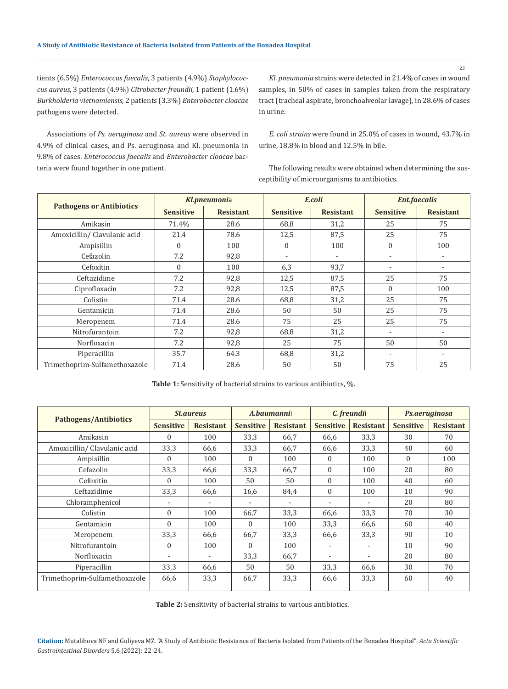tients (6.5%) *Enterococcus faecalis*, 3 patients (4.9%) *Staphylococcus aureus*, 3 patients (4.9%) *Citrobacter freundii*, 1 patient (1.6%) *Burkholderia vietnamiensis*, 2 patients (3.3%) *Enterobacter cloacae* pathogens were detected.

Associations of *Ps. aeruginosa* and *St. aureus* were observed in 4.9% of clinical cases, and Ps. aeruginosa and Kl. pneumonia in 9.8% of cases. *Enterococcus faecalis* and *Enterobacter cloacae* bacteria were found together in one patient.

*Kl. pneumonia* strains were detected in 21.4% of cases in wound samples, in 50% of cases in samples taken from the respiratory tract (tracheal aspirate, bronchoalveolar lavage), in 28.6% of cases in urine.

*E. coli strains* were found in 25.0% of cases in wound, 43.7% in urine, 18.8% in blood and 12.5% in bile.

The following results were obtained when determining the susceptibility of microorganisms to antibiotics.

|                                 | Kl.pneumonia     |                  |                          | E.coli           | <b>Ent.faecalis</b> |                          |  |
|---------------------------------|------------------|------------------|--------------------------|------------------|---------------------|--------------------------|--|
| <b>Pathogens or Antibiotics</b> | <b>Sensitive</b> | <b>Resistant</b> | <b>Sensitive</b>         | <b>Resistant</b> | <b>Sensitive</b>    | <b>Resistant</b>         |  |
| Amikasin                        | 71.4%            | 28.6             | 68,8                     | 31,2             | 25                  | 75                       |  |
| Amoxicillin/ Clavulanic acid    | 21.4             | 78.6             | 87,5<br>12,5             |                  | 25                  | 75                       |  |
| Ampisillin                      | $\Omega$         | 100              | $\Omega$                 | 100              | $\Omega$            | 100                      |  |
| Cefazolin                       | 7.2              | 92,8             | $\overline{\phantom{0}}$ |                  |                     | $\overline{\phantom{0}}$ |  |
| Cefoxitin                       | $\Omega$         | 100              | 6,3                      | 93,7             |                     |                          |  |
| Ceftazidime                     | 7.2              | 92.8             | 12,5                     | 87,5             | 25                  | 75                       |  |
| Ciprofloxacin                   | 7.2              | 92,8             | 12,5                     | 87,5             | $\Omega$            | 100                      |  |
| Colistin                        | 71.4             | 28.6             | 68,8                     | 31,2             | 25                  | 75                       |  |
| Gentamicin                      | 71.4             | 28.6             | 50                       | 50               | 25                  | 75                       |  |
| Meropenem                       | 71.4             | 28.6             | 75                       | 25               | 25                  | 75                       |  |
| Nitrofurantoin                  | 7.2              | 92,8             | 68,8                     | 31,2             |                     |                          |  |
| Norfloxacin                     | 7.2              | 92,8             | 25                       | 75               | 50                  | 50                       |  |
| Piperacillin                    | 35.7             | 64.3             | 68,8                     | 31,2             | ٠                   | $\blacksquare$           |  |
| Trimethoprim-Sulfamethoxazole   | 71.4             | 28.6             | 50                       | 50               | 75                  | 25                       |  |

**Table 1:** Sensitivity of bacterial strains to various antibiotics, %.

| <b>Pathogens/Antibiotics</b>  | <i><b>St.aureus</b></i> |                  | A.baumannii      |                  | C. freundi       |                  | Ps.aeruginosa    |                  |
|-------------------------------|-------------------------|------------------|------------------|------------------|------------------|------------------|------------------|------------------|
|                               | <b>Sensitive</b>        | <b>Resistant</b> | <b>Sensitive</b> | <b>Resistant</b> | <b>Sensitive</b> | <b>Resistant</b> | <b>Sensitive</b> | <b>Resistant</b> |
| Amikasin                      | $\Omega$                | 100              | 33,3             | 66,7             | 66,6             | 33,3             | 30               | 70               |
| Amoxicillin/Clavulanic acid   | 33,3                    | 66,6             | 33,3             | 66,7             | 66,6             | 33,3             | 40               | 60               |
| Ampisillin                    | $\Omega$                | 100              | $\Omega$         | 100              | $\Omega$         | 100              | $\mathbf{0}$     | 100              |
| Cefazolin                     | 33,3                    | 66,6             | 33,3             | 66.7             | $\Omega$         | 100              | 20               | 80               |
| Cefoxitin                     | $\Omega$                | 100              | 50               | 50               | $\Omega$         | 100              | 40               | 60               |
| Ceftazidime                   | 33,3                    | 66,6             | 16,6             | 84,4             | $\Omega$         | 100              | 10               | 90               |
| Chloramphenicol               |                         |                  |                  |                  |                  |                  | 20               | 80               |
| Colistin                      | $\theta$                | 100              | 66,7             | 33,3             | 66,6             | 33,3             | 70               | 30               |
| Gentamicin                    | $\Omega$                | 100              | $\Omega$         | 100              | 33,3             | 66,6             | 60               | 40               |
| Meropenem                     | 33,3                    | 66,6             | 66,7             | 33,3             | 66,6             | 33,3             | 90               | 10               |
| Nitrofurantoin                | $\Omega$                | 100              | $\Omega$         | 100              |                  |                  | 10               | 90               |
| Norfloxacin                   |                         |                  | 33,3             | 66,7             |                  |                  | 20               | 80               |
| Piperacillin                  | 33,3                    | 66,6             | 50               | 50               | 33,3             | 66,6             | 30               | 70               |
| Trimethoprim-Sulfamethoxazole | 66,6                    | 33,3             | 66,7             | 33,3             | 66,6             | 33,3             | 60               | 40               |

**Table 2:** Sensitivity of bacterial strains to various antibiotics.

**Citation:** Mutalibova NF and Guliyeva MZ*.* "A Study of Antibiotic Resistance of Bacteria Isolated from Patients of the Bonadea Hospital". *Acta Scientific Gastrointestinal Disorders* 5.6 (2022): 22-24.

23